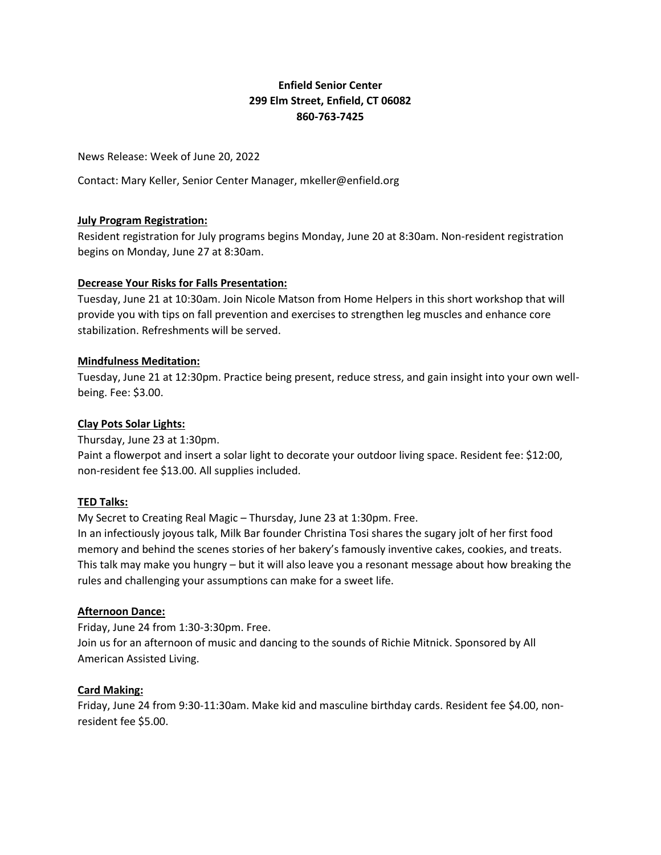# **Enfield Senior Center 299 Elm Street, Enfield, CT 06082 860-763-7425**

News Release: Week of June 20, 2022

Contact: Mary Keller, Senior Center Manager, mkeller@enfield.org

### **July Program Registration:**

Resident registration for July programs begins Monday, June 20 at 8:30am. Non-resident registration begins on Monday, June 27 at 8:30am.

#### **Decrease Your Risks for Falls Presentation:**

Tuesday, June 21 at 10:30am. Join Nicole Matson from Home Helpers in this short workshop that will provide you with tips on fall prevention and exercises to strengthen leg muscles and enhance core stabilization. Refreshments will be served.

#### **Mindfulness Meditation:**

Tuesday, June 21 at 12:30pm. Practice being present, reduce stress, and gain insight into your own wellbeing. Fee: \$3.00.

#### **Clay Pots Solar Lights:**

Thursday, June 23 at 1:30pm. Paint a flowerpot and insert a solar light to decorate your outdoor living space. Resident fee: \$12:00, non-resident fee \$13.00. All supplies included.

### **TED Talks:**

My Secret to Creating Real Magic – Thursday, June 23 at 1:30pm. Free.

In an infectiously joyous talk, Milk Bar founder Christina Tosi shares the sugary jolt of her first food memory and behind the scenes stories of her bakery's famously inventive cakes, cookies, and treats. This talk may make you hungry – but it will also leave you a resonant message about how breaking the rules and challenging your assumptions can make for a sweet life.

### **Afternoon Dance:**

Friday, June 24 from 1:30-3:30pm. Free.

Join us for an afternoon of music and dancing to the sounds of Richie Mitnick. Sponsored by All American Assisted Living.

#### **Card Making:**

Friday, June 24 from 9:30-11:30am. Make kid and masculine birthday cards. Resident fee \$4.00, nonresident fee \$5.00.